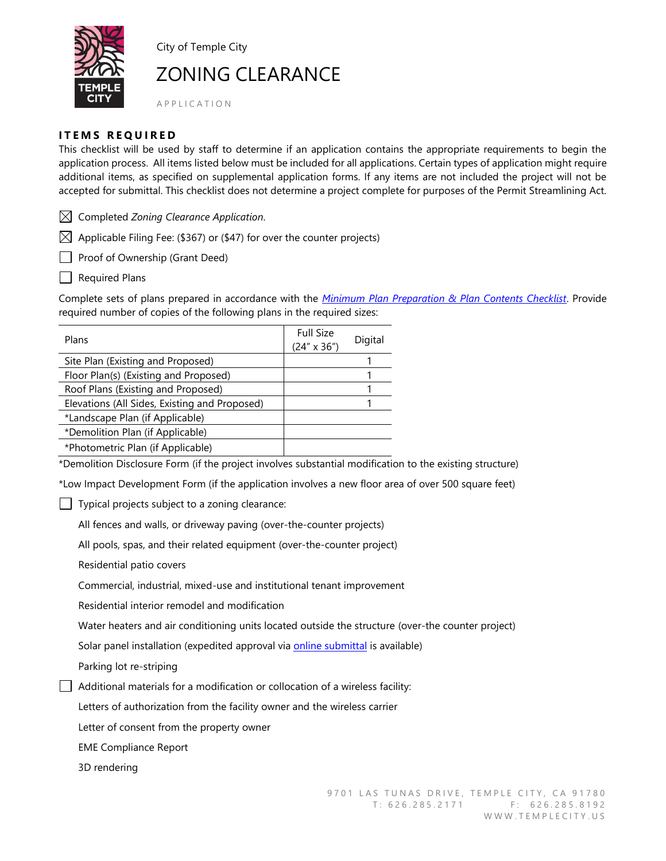

City of Temple City

# ZONING CLEARANCE

A P P L I C A T I O N

### **ITEMS REQUIRED**

This checklist will be used by staff to determine if an application contains the appropriate requirements to begin the application process. All items listed below must be included for all applications. Certain types of application might require additional items, as specified on supplemental application forms. If any items are not included the project will not be accepted for submittal. This checklist does not determine a project complete for purposes of the Permit Streamlining Act.

Completed *Zoning Clearance Application*.

 $\boxtimes$  Applicable Filing Fee: (\$367) or (\$47) for over the counter projects)

Proof of Ownership (Grant Deed)

**Nequired Plans** 

Complete sets of plans prepared in accordance with the *[Minimum Plan Preparation & Plan Contents Checklist](https://www.ci.temple-city.ca.us/DocumentCenter/View/8226)*. Provide required number of copies of the following plans in the required sizes:

| Plans                                         | <b>Full Size</b><br>$(24'' \times 36'')$ | Digital |
|-----------------------------------------------|------------------------------------------|---------|
| Site Plan (Existing and Proposed)             |                                          |         |
| Floor Plan(s) (Existing and Proposed)         |                                          |         |
| Roof Plans (Existing and Proposed)            |                                          |         |
| Elevations (All Sides, Existing and Proposed) |                                          |         |
| *Landscape Plan (if Applicable)               |                                          |         |
| *Demolition Plan (if Applicable)              |                                          |         |
| *Photometric Plan (if Applicable)             |                                          |         |

\*Demolition Disclosure Form (if the project involves substantial modification to the existing structure)

\*Low Impact Development Form (if the application involves a new floor area of over 500 square feet)

 $\Box$  Typical projects subject to a zoning clearance:

All fences and walls, or driveway paving (over-the-counter projects)

All pools, spas, and their related equipment (over-the-counter project)

Residential patio covers

Commercial, industrial, mixed-use and institutional tenant improvement

Residential interior remodel and modification

Water heaters and air conditioning units located outside the structure (over-the counter project)

Solar panel installation (expedited approval via [online submittal](https://www.templecity.us/870/Solar-System-Permits) is available)

Parking lot re-striping

Additional materials for a modification or collocation of a wireless facility:

Letters of authorization from the facility owner and the wireless carrier

Letter of consent from the property owner

EME Compliance Report

3D rendering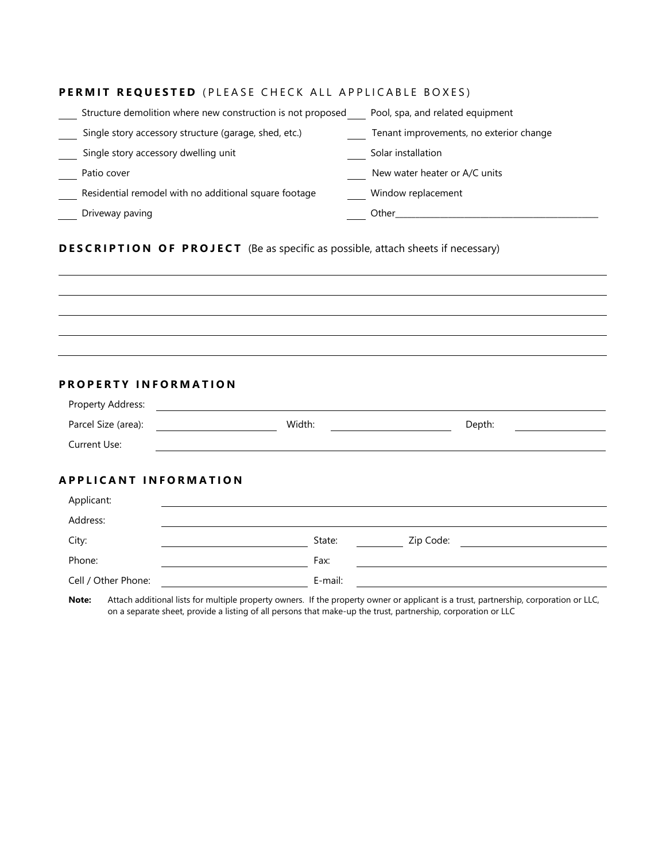## **PERMIT REQUESTED** (PLEASE CHECK ALL APPLICABLE BOXES)

| Structure demolition where new construction is not proposed | Pool, spa, and related equipment        |
|-------------------------------------------------------------|-----------------------------------------|
| Single story accessory structure (garage, shed, etc.)       | Tenant improvements, no exterior change |
| Single story accessory dwelling unit                        | Solar installation                      |
| Patio cover                                                 | New water heater or A/C units           |
| Residential remodel with no additional square footage       | Window replacement                      |
| Driveway paving                                             | Other                                   |

## **DESCRIPTION OF PROJECT** (Be as specific as possible, attach sheets if necessary)

| and the control of the control of the control of the control of the control of the control of the control of the |  |  |
|------------------------------------------------------------------------------------------------------------------|--|--|
|                                                                                                                  |  |  |
|                                                                                                                  |  |  |
|                                                                                                                  |  |  |
|                                                                                                                  |  |  |

## **PROPERTY INFORMATION**

| Property Address:            |         |           |
|------------------------------|---------|-----------|
| Parcel Size (area):          | Width:  | Depth:    |
| Current Use:                 |         |           |
|                              |         |           |
| <b>APPLICANT INFORMATION</b> |         |           |
| Applicant:                   |         |           |
| Address:                     |         |           |
| City:                        | State:  | Zip Code: |
| Phone:                       | Fax:    |           |
| Cell / Other Phone:          | E-mail: |           |

**Note:** Attach additional lists for multiple property owners. If the property owner or applicant is a trust, partnership, corporation or LLC, on a separate sheet, provide a listing of all persons that make-up the trust, partnership, corporation or LLC